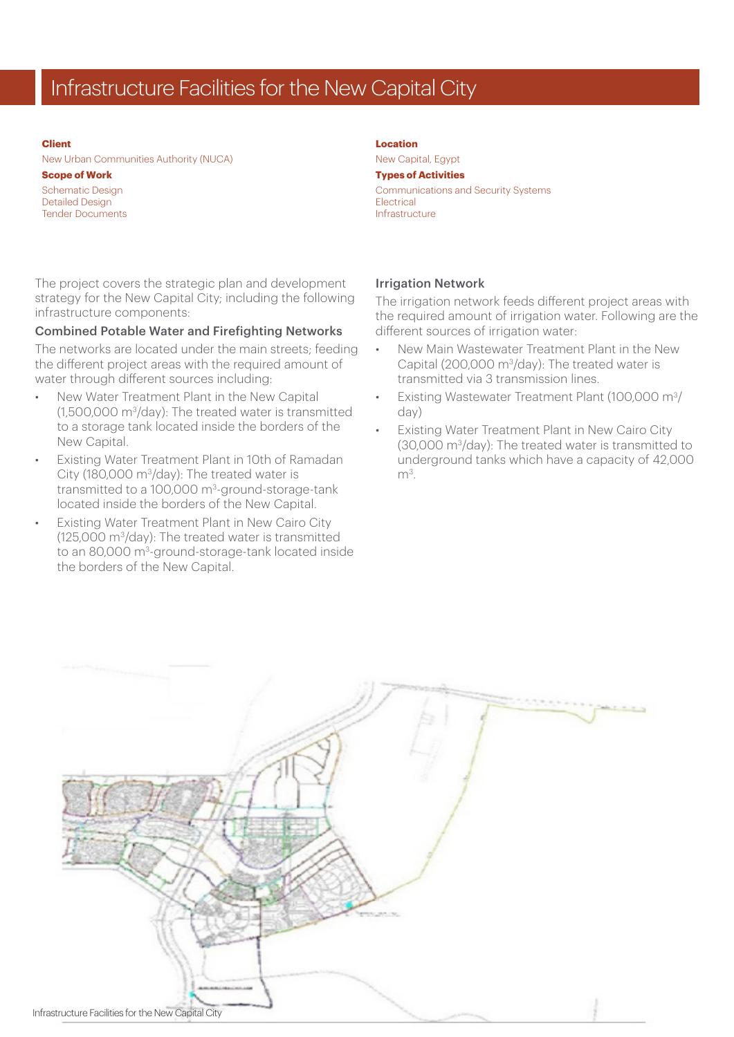# Infrastructure Facilities for the New Capital City

#### **Client**

New Urban Communities Authority (NUCA)

#### **Scope of Work**

Schematic Design Detailed Design Tender Documents

The project covers the strategic plan and development strategy for the New Capital City; including the following infrastructure components:

### Combined Potable Water and Firefighting Networks

The networks are located under the main streets; feeding the different project areas with the required amount of water through different sources including:

- New Water Treatment Plant in the New Capital (1,500,000 m3/day): The treated water is transmitted to a storage tank located inside the borders of the New Capital.
- Existing Water Treatment Plant in 10th of Ramadan City (180,000 m3/day): The treated water is transmitted to a 100,000 m3-ground-storage-tank located inside the borders of the New Capital.
- **Existing Water Treatment Plant in New Cairo City** (125,000 m3/day): The treated water is transmitted to an 80,000 m<sup>3</sup>-ground-storage-tank located inside the borders of the New Capital.

## **Location**

New Capital, Egypt **Types of Activities** Communications and Security Systems Electrical Infrastructure

#### Irrigation Network

The irrigation network feeds different project areas with the required amount of irrigation water. Following are the different sources of irrigation water:

- New Main Wastewater Treatment Plant in the New Capital (200,000 m3/day): The treated water is transmitted via 3 transmission lines.
- Existing Wastewater Treatment Plant (100,000 m3/ day)
- **Existing Water Treatment Plant in New Cairo City** (30,000 m3/day): The treated water is transmitted to underground tanks which have a capacity of 42,000  $m<sup>3</sup>$ .